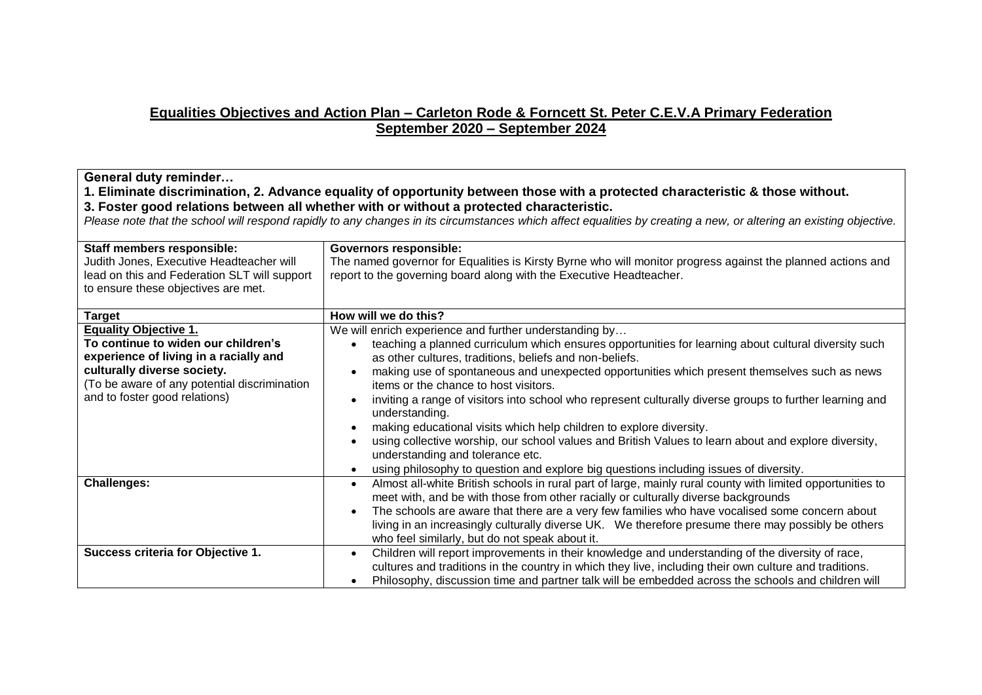## **Equalities Objectives and Action Plan – Carleton Rode & Forncett St. Peter C.E.V.A Primary Federation September 2020 – September 2024**

| General duty reminder<br>1. Eliminate discrimination, 2. Advance equality of opportunity between those with a protected characteristic & those without.<br>3. Foster good relations between all whether with or without a protected characteristic.<br>Please note that the school will respond rapidly to any changes in its circumstances which affect equalities by creating a new, or altering an existing objective.<br>Staff members responsible:<br><b>Governors responsible:</b><br>Judith Jones, Executive Headteacher will<br>The named governor for Equalities is Kirsty Byrne who will monitor progress against the planned actions and<br>lead on this and Federation SLT will support<br>report to the governing board along with the Executive Headteacher.<br>to ensure these objectives are met. |                                                                                                                                                                                                                                                                                                                                                                                                                                                                                                                                                                                                                                                                                                                                                                                                                           |
|-------------------------------------------------------------------------------------------------------------------------------------------------------------------------------------------------------------------------------------------------------------------------------------------------------------------------------------------------------------------------------------------------------------------------------------------------------------------------------------------------------------------------------------------------------------------------------------------------------------------------------------------------------------------------------------------------------------------------------------------------------------------------------------------------------------------|---------------------------------------------------------------------------------------------------------------------------------------------------------------------------------------------------------------------------------------------------------------------------------------------------------------------------------------------------------------------------------------------------------------------------------------------------------------------------------------------------------------------------------------------------------------------------------------------------------------------------------------------------------------------------------------------------------------------------------------------------------------------------------------------------------------------------|
| Target                                                                                                                                                                                                                                                                                                                                                                                                                                                                                                                                                                                                                                                                                                                                                                                                            | How will we do this?                                                                                                                                                                                                                                                                                                                                                                                                                                                                                                                                                                                                                                                                                                                                                                                                      |
| <b>Equality Objective 1.</b><br>To continue to widen our children's<br>experience of living in a racially and<br>culturally diverse society.<br>(To be aware of any potential discrimination<br>and to foster good relations)                                                                                                                                                                                                                                                                                                                                                                                                                                                                                                                                                                                     | We will enrich experience and further understanding by<br>teaching a planned curriculum which ensures opportunities for learning about cultural diversity such<br>as other cultures, traditions, beliefs and non-beliefs.<br>making use of spontaneous and unexpected opportunities which present themselves such as news<br>items or the chance to host visitors.<br>inviting a range of visitors into school who represent culturally diverse groups to further learning and<br>understanding.<br>making educational visits which help children to explore diversity.<br>using collective worship, our school values and British Values to learn about and explore diversity,<br>understanding and tolerance etc.<br>using philosophy to question and explore big questions including issues of diversity.<br>$\bullet$ |
| <b>Challenges:</b>                                                                                                                                                                                                                                                                                                                                                                                                                                                                                                                                                                                                                                                                                                                                                                                                | Almost all-white British schools in rural part of large, mainly rural county with limited opportunities to<br>$\bullet$<br>meet with, and be with those from other racially or culturally diverse backgrounds<br>The schools are aware that there are a very few families who have vocalised some concern about<br>living in an increasingly culturally diverse UK. We therefore presume there may possibly be others<br>who feel similarly, but do not speak about it.                                                                                                                                                                                                                                                                                                                                                   |
| Success criteria for Objective 1.                                                                                                                                                                                                                                                                                                                                                                                                                                                                                                                                                                                                                                                                                                                                                                                 | Children will report improvements in their knowledge and understanding of the diversity of race,<br>$\bullet$<br>cultures and traditions in the country in which they live, including their own culture and traditions.<br>Philosophy, discussion time and partner talk will be embedded across the schools and children will                                                                                                                                                                                                                                                                                                                                                                                                                                                                                             |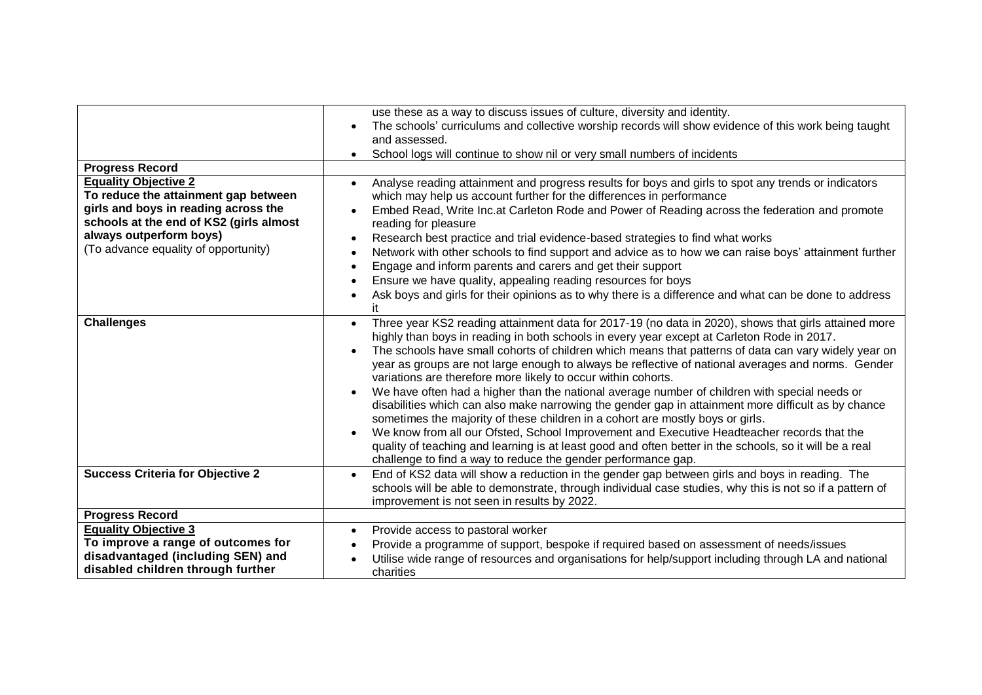|                                                                                                                                                                                                                           | use these as a way to discuss issues of culture, diversity and identity.<br>The schools' curriculums and collective worship records will show evidence of this work being taught<br>and assessed.<br>School logs will continue to show nil or very small numbers of incidents                                                                                                                                                                                                                                                                                                                                                                                                                                                                                                                                                                                                                                                                                                                                                                                      |
|---------------------------------------------------------------------------------------------------------------------------------------------------------------------------------------------------------------------------|--------------------------------------------------------------------------------------------------------------------------------------------------------------------------------------------------------------------------------------------------------------------------------------------------------------------------------------------------------------------------------------------------------------------------------------------------------------------------------------------------------------------------------------------------------------------------------------------------------------------------------------------------------------------------------------------------------------------------------------------------------------------------------------------------------------------------------------------------------------------------------------------------------------------------------------------------------------------------------------------------------------------------------------------------------------------|
| <b>Progress Record</b>                                                                                                                                                                                                    |                                                                                                                                                                                                                                                                                                                                                                                                                                                                                                                                                                                                                                                                                                                                                                                                                                                                                                                                                                                                                                                                    |
| <b>Equality Objective 2</b><br>To reduce the attainment gap between<br>girls and boys in reading across the<br>schools at the end of KS2 (girls almost<br>always outperform boys)<br>(To advance equality of opportunity) | Analyse reading attainment and progress results for boys and girls to spot any trends or indicators<br>$\bullet$<br>which may help us account further for the differences in performance<br>Embed Read, Write Inc.at Carleton Rode and Power of Reading across the federation and promote<br>reading for pleasure<br>Research best practice and trial evidence-based strategies to find what works<br>$\bullet$<br>Network with other schools to find support and advice as to how we can raise boys' attainment further<br>Engage and inform parents and carers and get their support<br>Ensure we have quality, appealing reading resources for boys<br>Ask boys and girls for their opinions as to why there is a difference and what can be done to address<br>it                                                                                                                                                                                                                                                                                              |
| <b>Challenges</b>                                                                                                                                                                                                         | Three year KS2 reading attainment data for 2017-19 (no data in 2020), shows that girls attained more<br>$\bullet$<br>highly than boys in reading in both schools in every year except at Carleton Rode in 2017.<br>The schools have small cohorts of children which means that patterns of data can vary widely year on<br>year as groups are not large enough to always be reflective of national averages and norms. Gender<br>variations are therefore more likely to occur within cohorts.<br>We have often had a higher than the national average number of children with special needs or<br>disabilities which can also make narrowing the gender gap in attainment more difficult as by chance<br>sometimes the majority of these children in a cohort are mostly boys or girls.<br>We know from all our Ofsted, School Improvement and Executive Headteacher records that the<br>quality of teaching and learning is at least good and often better in the schools, so it will be a real<br>challenge to find a way to reduce the gender performance gap. |
| <b>Success Criteria for Objective 2</b>                                                                                                                                                                                   | End of KS2 data will show a reduction in the gender gap between girls and boys in reading. The<br>$\bullet$<br>schools will be able to demonstrate, through individual case studies, why this is not so if a pattern of<br>improvement is not seen in results by 2022.                                                                                                                                                                                                                                                                                                                                                                                                                                                                                                                                                                                                                                                                                                                                                                                             |
| <b>Progress Record</b>                                                                                                                                                                                                    |                                                                                                                                                                                                                                                                                                                                                                                                                                                                                                                                                                                                                                                                                                                                                                                                                                                                                                                                                                                                                                                                    |
| <b>Equality Objective 3</b><br>To improve a range of outcomes for<br>disadvantaged (including SEN) and<br>disabled children through further                                                                               | Provide access to pastoral worker<br>$\bullet$<br>Provide a programme of support, bespoke if required based on assessment of needs/issues<br>Utilise wide range of resources and organisations for help/support including through LA and national<br>charities                                                                                                                                                                                                                                                                                                                                                                                                                                                                                                                                                                                                                                                                                                                                                                                                     |